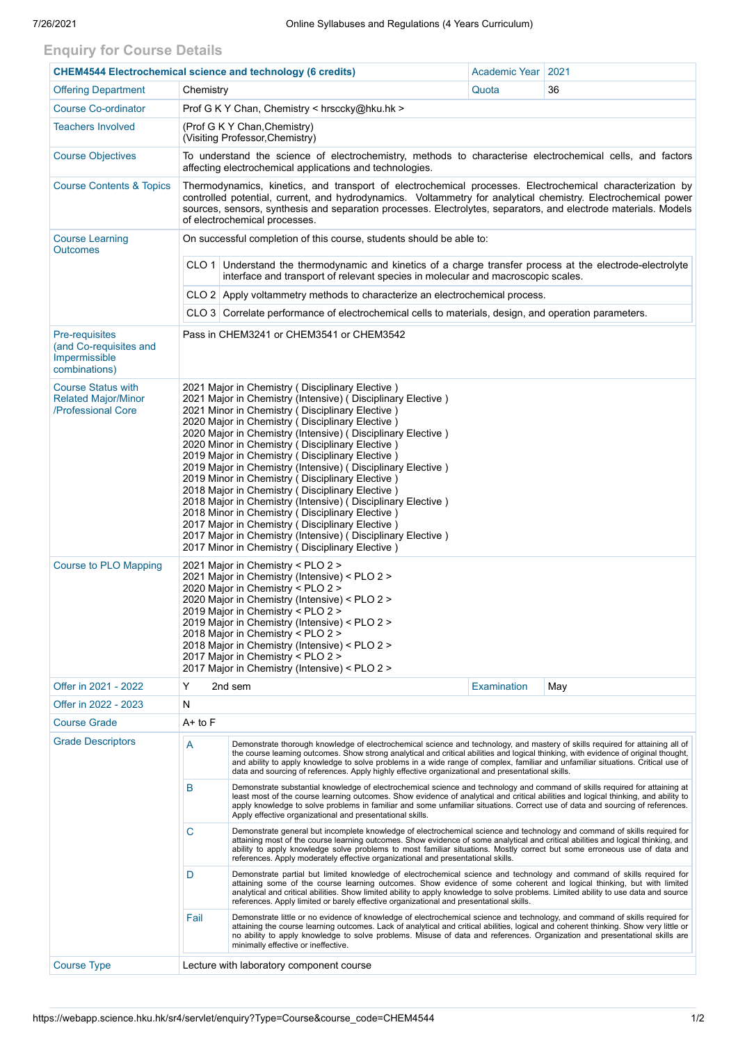## **Enquiry for Course Details**

| <b>CHEM4544 Electrochemical science and technology (6 credits)</b>            |                                                                                                                                                                                                                                                                                                                                                                                                                                                                                                                                                                                                                                                                                                                                                                                                                                                           | Academic Year                                 | 2021        |     |  |  |  |  |
|-------------------------------------------------------------------------------|-----------------------------------------------------------------------------------------------------------------------------------------------------------------------------------------------------------------------------------------------------------------------------------------------------------------------------------------------------------------------------------------------------------------------------------------------------------------------------------------------------------------------------------------------------------------------------------------------------------------------------------------------------------------------------------------------------------------------------------------------------------------------------------------------------------------------------------------------------------|-----------------------------------------------|-------------|-----|--|--|--|--|
| <b>Offering Department</b>                                                    | Chemistry                                                                                                                                                                                                                                                                                                                                                                                                                                                                                                                                                                                                                                                                                                                                                                                                                                                 |                                               | Quota       | 36  |  |  |  |  |
| <b>Course Co-ordinator</b>                                                    |                                                                                                                                                                                                                                                                                                                                                                                                                                                                                                                                                                                                                                                                                                                                                                                                                                                           | Prof G K Y Chan, Chemistry < hrsccky@hku.hk > |             |     |  |  |  |  |
| <b>Teachers Involved</b>                                                      | (Prof G K Y Chan, Chemistry)<br>(Visiting Professor, Chemistry)                                                                                                                                                                                                                                                                                                                                                                                                                                                                                                                                                                                                                                                                                                                                                                                           |                                               |             |     |  |  |  |  |
| <b>Course Objectives</b>                                                      | To understand the science of electrochemistry, methods to characterise electrochemical cells, and factors<br>affecting electrochemical applications and technologies.                                                                                                                                                                                                                                                                                                                                                                                                                                                                                                                                                                                                                                                                                     |                                               |             |     |  |  |  |  |
| <b>Course Contents &amp; Topics</b>                                           | Thermodynamics, kinetics, and transport of electrochemical processes. Electrochemical characterization by<br>controlled potential, current, and hydrodynamics. Voltammetry for analytical chemistry. Electrochemical power<br>sources, sensors, synthesis and separation processes. Electrolytes, separators, and electrode materials. Models<br>of electrochemical processes.                                                                                                                                                                                                                                                                                                                                                                                                                                                                            |                                               |             |     |  |  |  |  |
| <b>Course Learning</b><br><b>Outcomes</b>                                     | On successful completion of this course, students should be able to:                                                                                                                                                                                                                                                                                                                                                                                                                                                                                                                                                                                                                                                                                                                                                                                      |                                               |             |     |  |  |  |  |
|                                                                               | CLO 1 Understand the thermodynamic and kinetics of a charge transfer process at the electrode-electrolyte<br>interface and transport of relevant species in molecular and macroscopic scales.                                                                                                                                                                                                                                                                                                                                                                                                                                                                                                                                                                                                                                                             |                                               |             |     |  |  |  |  |
|                                                                               | CLO 2 Apply voltammetry methods to characterize an electrochemical process.                                                                                                                                                                                                                                                                                                                                                                                                                                                                                                                                                                                                                                                                                                                                                                               |                                               |             |     |  |  |  |  |
|                                                                               | CLO 3 Correlate performance of electrochemical cells to materials, design, and operation parameters.                                                                                                                                                                                                                                                                                                                                                                                                                                                                                                                                                                                                                                                                                                                                                      |                                               |             |     |  |  |  |  |
| Pre-requisites<br>(and Co-requisites and<br>Impermissible<br>combinations)    | Pass in CHEM3241 or CHEM3541 or CHEM3542                                                                                                                                                                                                                                                                                                                                                                                                                                                                                                                                                                                                                                                                                                                                                                                                                  |                                               |             |     |  |  |  |  |
| <b>Course Status with</b><br><b>Related Major/Minor</b><br>/Professional Core | 2021 Major in Chemistry (Disciplinary Elective)<br>2021 Major in Chemistry (Intensive) (Disciplinary Elective)<br>2021 Minor in Chemistry (Disciplinary Elective)<br>2020 Major in Chemistry (Disciplinary Elective)<br>2020 Major in Chemistry (Intensive) (Disciplinary Elective)<br>2020 Minor in Chemistry (Disciplinary Elective)<br>2019 Major in Chemistry ( Disciplinary Elective )<br>2019 Major in Chemistry (Intensive) (Disciplinary Elective)<br>2019 Minor in Chemistry (Disciplinary Elective)<br>2018 Major in Chemistry (Disciplinary Elective)<br>2018 Major in Chemistry (Intensive) (Disciplinary Elective)<br>2018 Minor in Chemistry (Disciplinary Elective)<br>2017 Major in Chemistry (Disciplinary Elective)<br>2017 Major in Chemistry (Intensive) ( Disciplinary Elective )<br>2017 Minor in Chemistry (Disciplinary Elective) |                                               |             |     |  |  |  |  |
| <b>Course to PLO Mapping</b>                                                  | 2021 Major in Chemistry < PLO 2 ><br>2021 Major in Chemistry (Intensive) < PLO 2 ><br>2020 Major in Chemistry < PLO 2 ><br>2020 Major in Chemistry (Intensive) < PLO 2 ><br>2019 Major in Chemistry < PLO 2 ><br>2019 Major in Chemistry (Intensive) < PLO 2 ><br>2018 Major in Chemistry < PLO 2 ><br>2018 Major in Chemistry (Intensive) < PLO 2 ><br>2017 Major in Chemistry < PLO 2 ><br>2017 Major in Chemistry (Intensive) < PLO 2 >                                                                                                                                                                                                                                                                                                                                                                                                                |                                               |             |     |  |  |  |  |
| Offer in 2021 - 2022                                                          | Y                                                                                                                                                                                                                                                                                                                                                                                                                                                                                                                                                                                                                                                                                                                                                                                                                                                         | 2nd sem                                       | Examination | May |  |  |  |  |
| Offer in 2022 - 2023                                                          | N                                                                                                                                                                                                                                                                                                                                                                                                                                                                                                                                                                                                                                                                                                                                                                                                                                                         |                                               |             |     |  |  |  |  |
| <b>Course Grade</b>                                                           | $A+$ to $F$                                                                                                                                                                                                                                                                                                                                                                                                                                                                                                                                                                                                                                                                                                                                                                                                                                               |                                               |             |     |  |  |  |  |
| <b>Grade Descriptors</b>                                                      | A<br>Demonstrate thorough knowledge of electrochemical science and technology, and mastery of skills required for attaining all of<br>the course learning outcomes. Show strong analytical and critical abilities and logical thinking, with evidence of original thought,<br>and ability to apply knowledge to solve problems in a wide range of complex, familiar and unfamiliar situations. Critical use of<br>data and sourcing of references. Apply highly effective organizational and presentational skills.                                                                                                                                                                                                                                                                                                                                       |                                               |             |     |  |  |  |  |
|                                                                               | B<br>Demonstrate substantial knowledge of electrochemical science and technology and command of skills required for attaining at<br>least most of the course learning outcomes. Show evidence of analytical and critical abilities and logical thinking, and ability to<br>apply knowledge to solve problems in familiar and some unfamiliar situations. Correct use of data and sourcing of references.<br>Apply effective organizational and presentational skills.                                                                                                                                                                                                                                                                                                                                                                                     |                                               |             |     |  |  |  |  |
|                                                                               | C<br>Demonstrate general but incomplete knowledge of electrochemical science and technology and command of skills required for<br>attaining most of the course learning outcomes. Show evidence of some analytical and critical abilities and logical thinking, and<br>ability to apply knowledge solve problems to most familiar situations. Mostly correct but some erroneous use of data and<br>references. Apply moderately effective organizational and presentational skills.                                                                                                                                                                                                                                                                                                                                                                       |                                               |             |     |  |  |  |  |
|                                                                               | Demonstrate partial but limited knowledge of electrochemical science and technology and command of skills required for<br>D<br>attaining some of the course learning outcomes. Show evidence of some coherent and logical thinking, but with limited<br>analytical and critical abilities. Show limited ability to apply knowledge to solve problems. Limited ability to use data and source<br>references. Apply limited or barely effective organizational and presentational skills.                                                                                                                                                                                                                                                                                                                                                                   |                                               |             |     |  |  |  |  |
|                                                                               | Fail<br>Demonstrate little or no evidence of knowledge of electrochemical science and technology, and command of skills required for<br>attaining the course learning outcomes. Lack of analytical and critical abilities, logical and coherent thinking. Show very little or<br>no ability to apply knowledge to solve problems. Misuse of data and references. Organization and presentational skills are<br>minimally effective or ineffective.                                                                                                                                                                                                                                                                                                                                                                                                        |                                               |             |     |  |  |  |  |
| <b>Course Type</b>                                                            |                                                                                                                                                                                                                                                                                                                                                                                                                                                                                                                                                                                                                                                                                                                                                                                                                                                           | Lecture with laboratory component course      |             |     |  |  |  |  |